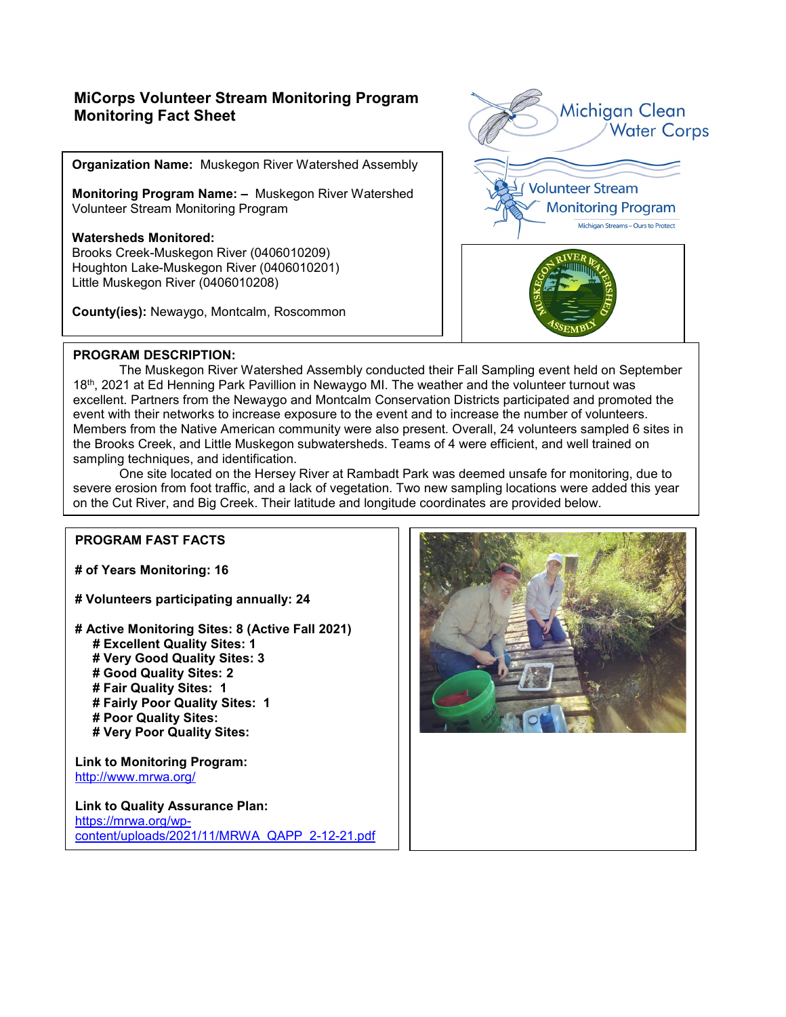### **MiCorps Volunteer Stream Monitoring Program Monitoring Fact Sheet**

**Organization Name:** Muskegon River Watershed Assembly

**Monitoring Program Name: –** Muskegon River Watershed Volunteer Stream Monitoring Program

#### **Watersheds Monitored:** Brooks Creek-Muskegon River (0406010209)

Houghton Lake-Muskegon River (0406010201) Little Muskegon River (0406010208)

**County(ies):** Newaygo, Montcalm, Roscommon



### **PROGRAM DESCRIPTION:**

The Muskegon River Watershed Assembly conducted their Fall Sampling event held on September 18th, 2021 at Ed Henning Park Pavillion in Newaygo MI. The weather and the volunteer turnout was excellent. Partners from the Newaygo and Montcalm Conservation Districts participated and promoted the event with their networks to increase exposure to the event and to increase the number of volunteers. Members from the Native American community were also present. Overall, 24 volunteers sampled 6 sites in the Brooks Creek, and Little Muskegon subwatersheds. Teams of 4 were efficient, and well trained on sampling techniques, and identification.

One site located on the Hersey River at Rambadt Park was deemed unsafe for monitoring, due to severe erosion from foot traffic, and a lack of vegetation. Two new sampling locations were added this year on the Cut River, and Big Creek. Their latitude and longitude coordinates are provided below.

#### **PROGRAM FAST FACTS**

**# of Years Monitoring: 16** 

**# Volunteers participating annually: 24**

- **# Active Monitoring Sites: 8 (Active Fall 2021) # Excellent Quality Sites: 1 # Very Good Quality Sites: 3 # Good Quality Sites: 2**
	- **# Fair Quality Sites: 1**
	- **# Fairly Poor Quality Sites: 1**
	- **# Poor Quality Sites:**
	- **# Very Poor Quality Sites:**

**Link to Monitoring Program:** <http://www.mrwa.org/>

**Link to Quality Assurance Plan:**  [https://mrwa.org/wp](https://mrwa.org/wp-content/uploads/2021/11/MRWA_QAPP_2-12-21.pdf)[content/uploads/2021/11/MRWA\\_QAPP\\_2-12-21.pdf](https://mrwa.org/wp-content/uploads/2021/11/MRWA_QAPP_2-12-21.pdf)